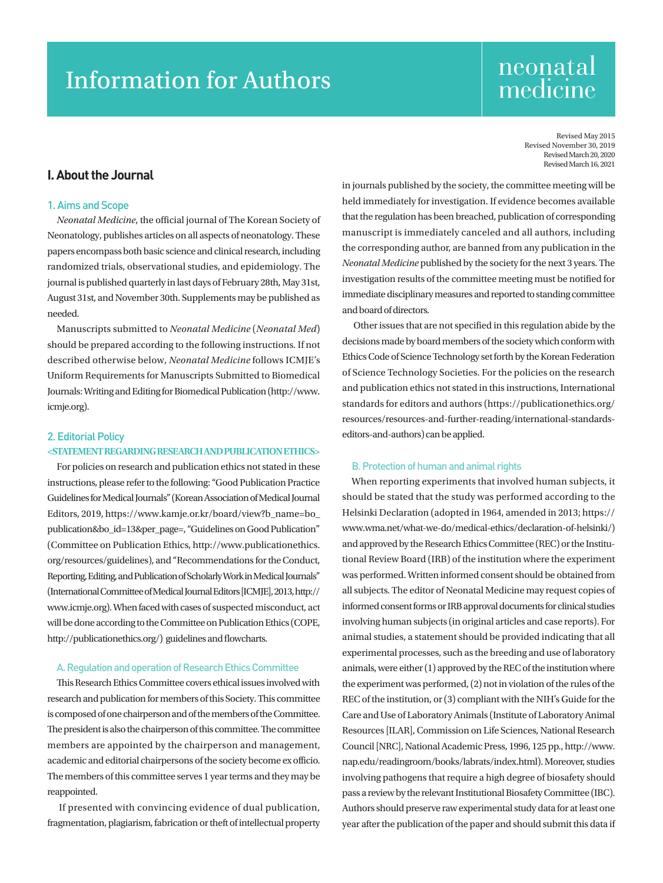# Information for Authors

## neonatal medicine

Revised May 2015 Revised November 30, 2019 Revised March 20, 2020 Revised March 16, 2021

## I. About the Journal

### 1. Aims and Scope

*Neonatal Medicine*, the official journal of The Korean Society of Neonatology, publishes articles on all aspects of neonatology. These papers encompass both basic science and clinical research, including randomized trials, observational studies, and epidemiology. The journal is published quarterly in last days of February 28th, May 31st, August 31st, and November 30th. Supplements may be published as needed.

Manuscripts submitted to *Neonatal Medicine* (*Neonatal Med*) should be prepared according to the following instructions. If not described otherwise below, *Neonatal Medicine* follows ICMJE's Uniform Requirements for Manuscripts Submitted to Biomedical Journals: Writing and Editing for Biomedical Publication (http://www. icmje.org).

## 2. Editorial Policy **<STATEMENT REGARDING RESEARCH AND PUBLICATION ETHICS>**

For policies on research and publication ethics not stated in these instructions, please refer to the following: "Good Publication Practice Guidelines for Medical Journals" (Korean Association of Medical Journal Editors, 2019, [https://www.kamje.or.kr/board/view?b\\_name=bo\\_](https://www.kamje.or.kr/board/view?b_name=bo_publication&bo_id=13&per_page=) [publication&bo\\_id=13&per\\_page=,](https://www.kamje.or.kr/board/view?b_name=bo_publication&bo_id=13&per_page=) "Guidelines on Good Publication" (Committee on Publication Ethics, [http://www.publicationethics.](http://www.publicationethics.org/resources/guidelines) [org/resources/guidelines](http://www.publicationethics.org/resources/guidelines)), and "Recommendations for the Conduct, Reporting, Editing, and Publication of Scholarly Work in Medical Journals" (International Committee of Medical Journal Editors [ICMJE], 2013, [http://](http://www.icmje.org) [www.icmje.org\)](http://www.icmje.org). When faced with cases of suspected misconduct, act will be done according to the Committee on Publication Ethics (COPE, <http://publicationethics.org/>) guidelines and flowcharts.

#### A. Regulation and operation of Research Ethics Committee

This Research Ethics Committee covers ethical issues involved with research and publication for members of this Society. This committee is composed of one chairperson and of the members of the Committee. The president is also the chairperson of this committee. The committee members are appointed by the chairperson and management, academic and editorial chairpersons of the society become ex officio. The members of this committee serves 1 year terms and they may be reappointed.

 If presented with convincing evidence of dual publication, fragmentation, plagiarism, fabrication or theft of intellectual property in journals published by the society, the committee meeting will be held immediately for investigation. If evidence becomes available that the regulation has been breached, publication of corresponding manuscript is immediately canceled and all authors, including the corresponding author, are banned from any publication in the *Neonatal Medicine* published by the society for the next 3 years. The investigation results of the committee meeting must be notified for immediate disciplinary measures and reported to standing committee and board of directors.

 Other issues that are not specified in this regulation abide by the decisions made by board members of the society which conform with Ethics Code of Science Technology set forth by the Korean Federation of Science Technology Societies. For the policies on the research and publication ethics not stated in this instructions, International standards for editors and authors [\(https://publicationethics.org/](https://publicationethics.org/resources/resources-and-further-reading/international-standards-editors-and-authors) [resources/resources-and-further-reading/international-standards](https://publicationethics.org/resources/resources-and-further-reading/international-standards-editors-and-authors)[editors-and-authors](https://publicationethics.org/resources/resources-and-further-reading/international-standards-editors-and-authors)) can be applied.

#### B. Protection of human and animal rights

When reporting experiments that involved human subjects, it should be stated that the study was performed according to the Helsinki Declaration (adopted in 1964, amended in 2013; [https://](https://www.wma.net/what-we-do/medical-ethics/declaration-of-helsinki/) [www.wma.net/what-we-do/medical-ethics/declaration-of-helsinki/\)](https://www.wma.net/what-we-do/medical-ethics/declaration-of-helsinki/) and approved by the Research Ethics Committee (REC) or the Institutional Review Board (IRB) of the institution where the experiment was performed. Written informed consent should be obtained from all subjects. The editor of Neonatal Medicine may request copies of informed consent forms or IRB approval documents for clinical studies involving human subjects (in original articles and case reports). For animal studies, a statement should be provided indicating that all experimental processes, such as the breeding and use of laboratory animals, were either (1) approved by the REC of the institution where the experiment was performed, (2) not in violation of the rules of the REC of the institution, or (3) compliant with the NIH's Guide for the Care and Use of Laboratory Animals (Institute of Laboratory Animal Resources [ILAR], Commission on Life Sciences, National Research Council [NRC], National Academic Press, 1996, 125 pp., http://www. nap.edu/readingroom/books/labrats/index.html). Moreover, studies involving pathogens that require a high degree of biosafety should pass a review by the relevant Institutional Biosafety Committee (IBC). Authors should preserve raw experimental study data for at least one year after the publication of the paper and should submit this data if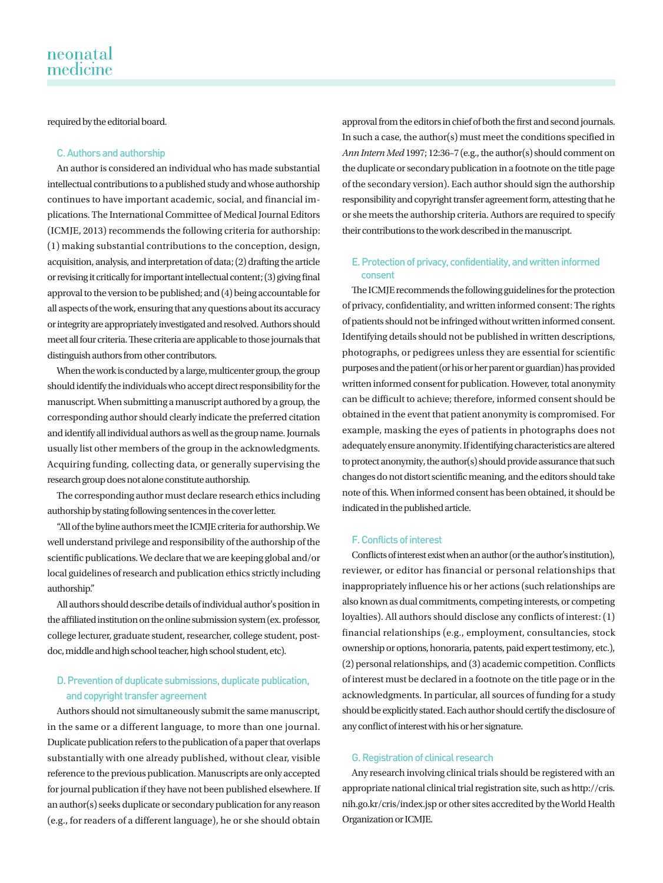required by the editorial board.

## C. Authors and authorship

An author is considered an individual who has made substantial intellectual contributions to a published study and whose authorship continues to have important academic, social, and financial implications. The International Committee of Medical Journal Editors (ICMJE, 2013) recommends the following criteria for authorship: (1) making substantial contributions to the conception, design, acquisition, analysis, and interpretation of data; (2) drafting the article or revising it critically for important intellectual content; (3) giving final approval to the version to be published; and (4) being accountable for all aspects of the work, ensuring that any questions about its accuracy or integrity are appropriately investigated and resolved. Authors should meet all four criteria. These criteria are applicable to those journals that distinguish authors from other contributors.

When the work is conducted by a large, multicenter group, the group should identify the individuals who accept direct responsibility for the manuscript. When submitting a manuscript authored by a group, the corresponding author should clearly indicate the preferred citation and identify all individual authors as well as the group name. Journals usually list other members of the group in the acknowledgments. Acquiring funding, collecting data, or generally supervising the research group does not alone constitute authorship.

The corresponding author must declare research ethics including authorship by stating following sentences in the cover letter.

"All of the byline authors meet the ICMJE criteria for authorship. We well understand privilege and responsibility of the authorship of the scientific publications. We declare that we are keeping global and/or local guidelines of research and publication ethics strictly including authorship."

All authors should describe details of individual author's position in the affiliated institution on the online submission system (ex. professor, college lecturer, graduate student, researcher, college student, postdoc, middle and high school teacher, high school student, etc).

## D. Prevention of duplicate submissions, duplicate publication, and copyright transfer agreement

Authors should not simultaneously submit the same manuscript, in the same or a different language, to more than one journal. Duplicate publication refers to the publication of a paper that overlaps substantially with one already published, without clear, visible reference to the previous publication. Manuscripts are only accepted for journal publication if they have not been published elsewhere. If an author(s) seeks duplicate or secondary publication for any reason (e.g., for readers of a different language), he or she should obtain

approval from the editors in chief of both the first and second journals. In such a case, the author(s) must meet the conditions specified in *Ann Intern Med* 1997; 12:36–7 (e.g., the author(s) should comment on the duplicate or secondary publication in a footnote on the title page of the secondary version). Each author should sign the authorship responsibility and copyright transfer agreement form, attesting that he or she meets the authorship criteria. Authors are required to specify their contributions to the work described in the manuscript.

## E. Protection of privacy, confidentiality, and written informed consent

The ICMJE recommends the following guidelines for the protection of privacy, confidentiality, and written informed consent: The rights of patients should not be infringed without written informed consent. Identifying details should not be published in written descriptions, photographs, or pedigrees unless they are essential for scientific purposes and the patient (or his or her parent or guardian) has provided written informed consent for publication. However, total anonymity can be difficult to achieve; therefore, informed consent should be obtained in the event that patient anonymity is compromised. For example, masking the eyes of patients in photographs does not adequately ensure anonymity. If identifying characteristics are altered to protect anonymity, the author(s) should provide assurance that such changes do not distort scientific meaning, and the editors should take note of this. When informed consent has been obtained, it should be indicated in the published article.

## F. Conflicts of interest

Conflicts of interest exist when an author (or the author's institution), reviewer, or editor has financial or personal relationships that inappropriately influence his or her actions (such relationships are also known as dual commitments, competing interests, or competing loyalties). All authors should disclose any conflicts of interest: (1) financial relationships (e.g., employment, consultancies, stock ownership or options, honoraria, patents, paid expert testimony, etc.), (2) personal relationships, and (3) academic competition. Conflicts of interest must be declared in a footnote on the title page or in the acknowledgments. In particular, all sources of funding for a study should be explicitly stated. Each author should certify the disclosure of any conflict of interest with his or her signature.

## G. Registration of clinical research

Any research involving clinical trials should be registered with an appropriate national clinical trial registration site, such as [http://cris.](http://cris.nih.go.kr/cris/index.jsp) [nih.go.kr/cris/index.jsp](http://cris.nih.go.kr/cris/index.jsp) or other sites accredited by the World Health Organization or ICMJE.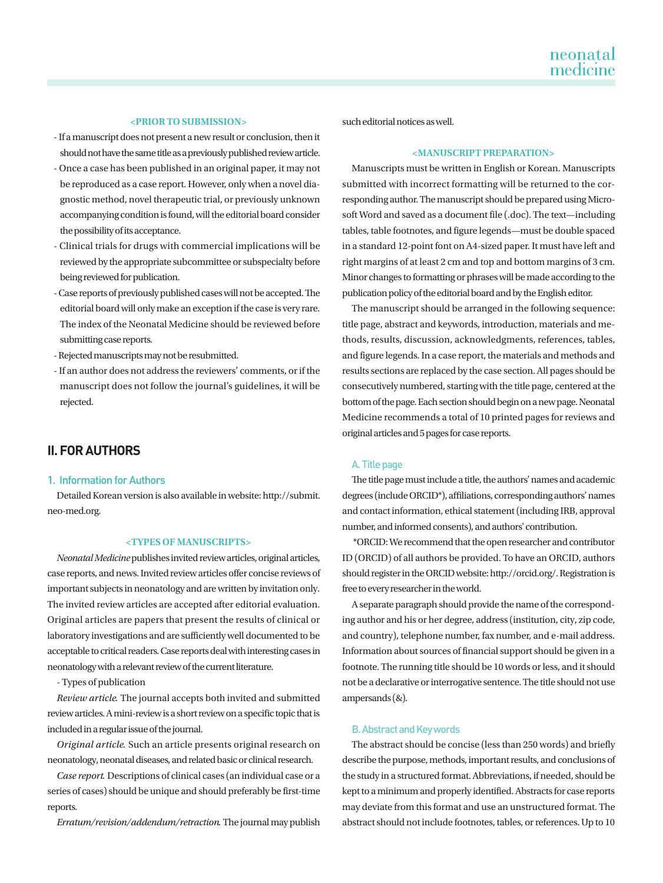## **<PRIOR TO SUBMISSION>**

- If a manuscript does not present a new result or conclusion, then it should not have the same title as a previously published review article.
- Once a case has been published in an original paper, it may not be reproduced as a case report. However, only when a novel diagnostic method, novel therapeutic trial, or previously unknown accompanying condition is found, will the editorial board consider the possibility of its acceptance.
- Clinical trials for drugs with commercial implications will be reviewed by the appropriate subcommittee or subspecialty before being reviewed for publication.
- Case reports of previously published cases will not be accepted. The editorial board will only make an exception if the case is very rare. The index of the Neonatal Medicine should be reviewed before submitting case reports.
- Rejected manuscripts may not be resubmitted.
- If an author does not address the reviewers' comments, or if the manuscript does not follow the journal's guidelines, it will be rejected.

## II. FOR AUTHORS

## 1. Information for Authors

Detailed Korean version is also available in website: [http://submit.](http://submit.neo-med.org) [neo-med.org.](http://submit.neo-med.org)

#### **<TYPES OF MANUSCRIPTS>**

*Neonatal Medicine* publishes invited review articles, original articles, case reports, and news. Invited review articles offer concise reviews of important subjects in neonatology and are written by invitation only. The invited review articles are accepted after editorial evaluation. Original articles are papers that present the results of clinical or laboratory investigations and are sufficiently well documented to be acceptable to critical readers. Case reports deal with interesting cases in neonatology with a relevant review of the current literature.

- Types of publication

*Review article*. The journal accepts both invited and submitted review articles. A mini-review is a short review on a specific topic that is included in a regular issue of the journal.

*Original article*. Such an article presents original research on neonatology, neonatal diseases, and related basic or clinical research.

*Case report*. Descriptions of clinical cases (an individual case or a series of cases) should be unique and should preferably be first-time reports.

*Erratum/revision/addendum/retraction*. The journal may publish

such editorial notices as well.

#### **<MANUSCRIPT PREPARATION>**

Manuscripts must be written in English or Korean. Manuscripts submitted with incorrect formatting will be returned to the corresponding author. The manuscript should be prepared using Microsoft Word and saved as a document file (.doc). The text—including tables, table footnotes, and figure legends—must be double spaced in a standard 12-point font on A4-sized paper. It must have left and right margins of at least 2 cm and top and bottom margins of 3 cm. Minor changes to formatting or phrases will be made according to the publication policy of the editorial board and by the English editor.

The manuscript should be arranged in the following sequence: title page, abstract and keywords, introduction, materials and methods, results, discussion, acknowledgments, references, tables, and figure legends. In a case report, the materials and methods and results sections are replaced by the case section. All pages should be consecutively numbered, starting with the title page, centered at the bottom of the page. Each section should begin on a new page. Neonatal Medicine recommends a total of 10 printed pages for reviews and original articles and 5 pages for case reports.

#### A. Title page

The title page must include a title, the authors' names and academic degrees (include ORCID\*), affiliations, corresponding authors' names and contact information, ethical statement (including IRB, approval number, and informed consents), and authors' contribution.

 \*ORCID: We recommend that the open researcher and contributor ID (ORCID) of all authors be provided. To have an ORCID, authors should register in the ORCID website: http://orcid.org/. Registration is free to every researcher in the world.

A separate paragraph should provide the name of the corresponding author and his or her degree, address (institution, city, zip code, and country), telephone number, fax number, and e-mail address. Information about sources of financial support should be given in a footnote. The running title should be 10 words or less, and it should not be a declarative or interrogative sentence. The title should not use ampersands (&).

#### B. Abstract and Key words

The abstract should be concise (less than 250 words) and briefly describe the purpose, methods, important results, and conclusions of the study in a structured format. Abbreviations, if needed, should be kept to a minimum and properly identified. Abstracts for case reports may deviate from this format and use an unstructured format. The abstract should not include footnotes, tables, or references. Up to 10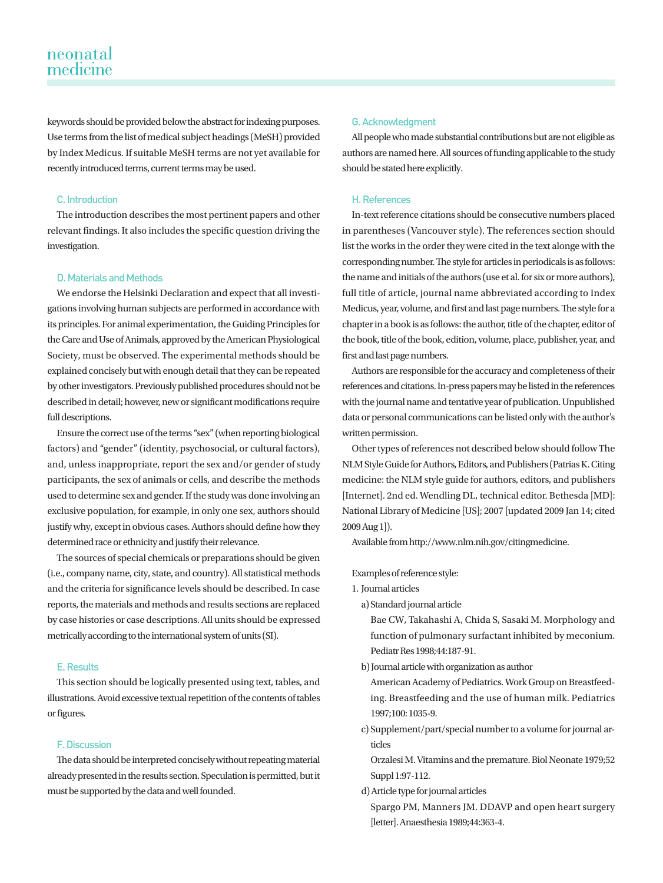keywords should be provided below the abstract for indexing purposes. Use terms from the list of medical subject headings (MeSH) provided by Index Medicus. If suitable MeSH terms are not yet available for recently introduced terms, current terms may be used.

## C. Introduction

The introduction describes the most pertinent papers and other relevant findings. It also includes the specific question driving the investigation.

## D. Materials and Methods

We endorse the Helsinki Declaration and expect that all investigations involving human subjects are performed in accordance with its principles. For animal experimentation, the Guiding Principles for the Care and Use of Animals, approved by the American Physiological Society, must be observed. The experimental methods should be explained concisely but with enough detail that they can be repeated by other investigators. Previously published procedures should not be described in detail; however, new or significant modifications require full descriptions.

Ensure the correct use of the terms "sex" (when reporting biological factors) and "gender" (identity, psychosocial, or cultural factors), and, unless inappropriate, report the sex and/or gender of study participants, the sex of animals or cells, and describe the methods used to determine sex and gender. If the study was done involving an exclusive population, for example, in only one sex, authors should justify why, except in obvious cases. Authors should define how they determined race or ethnicity and justify their relevance.

The sources of special chemicals or preparations should be given (i.e., company name, city, state, and country). All statistical methods and the criteria for significance levels should be described. In case reports, the materials and methods and results sections are replaced by case histories or case descriptions. All units should be expressed metrically according to the international system of units (SI).

#### E. Results

This section should be logically presented using text, tables, and illustrations. Avoid excessive textual repetition of the contents of tables or figures.

## F. Discussion

The data should be interpreted concisely without repeating material already presented in the results section. Speculation is permitted, but it must be supported by the data and well founded.

#### G. Acknowledgment

All people who made substantial contributions but are not eligible as authors are named here. All sources of funding applicable to the study should be stated here explicitly.

## H. References

In-text reference citations should be consecutive numbers placed in parentheses (Vancouver style). The references section should list the works in the order they were cited in the text alonge with the corresponding number. The style for articles in periodicals is as follows: the name and initials of the authors (use et al. for six or more authors), full title of article, journal name abbreviated according to Index Medicus, year, volume, and first and last page numbers. The style for a chapter in a book is as follows: the author, title of the chapter, editor of the book, title of the book, edition, volume, place, publisher, year, and first and last page numbers.

Authors are responsible for the accuracy and completeness of their references and citations. In-press papers may be listed in the references with the journal name and tentative year of publication. Unpublished data or personal communications can be listed only with the author's written permission.

Other types of references not described below should follow The NLM Style Guide for Authors, Editors, and Publishers (Patrias K. Citing medicine: the NLM style guide for authors, editors, and publishers [Internet]. 2nd ed. Wendling DL, technical editor. Bethesda [MD]: National Library of Medicine [US]; 2007 [updated 2009 Jan 14; cited 2009 Aug 1]).

Available from http://www.nlm.nih.gov/citingmedicine.

Examples of reference style:

1. Journal articles

a) Standard journal article

Bae CW, Takahashi A, Chida S, Sasaki M. Morphology and function of pulmonary surfactant inhibited by meconium. Pediatr Res 1998;44:187-91.

b) Journal article with organization as author

American Academy of Pediatrics. Work Group on Breastfeeding. Breastfeeding and the use of human milk. Pediatrics 1997;100: 1035-9.

c) Supplement/part/special number to a volume for journal articles

Orzalesi M. Vitamins and the premature. Biol Neonate 1979;52 Suppl 1:97-112.

d) Article type for journal articles

Spargo PM, Manners JM. DDAVP and open heart surgery [letter]. Anaesthesia 1989;44:363-4.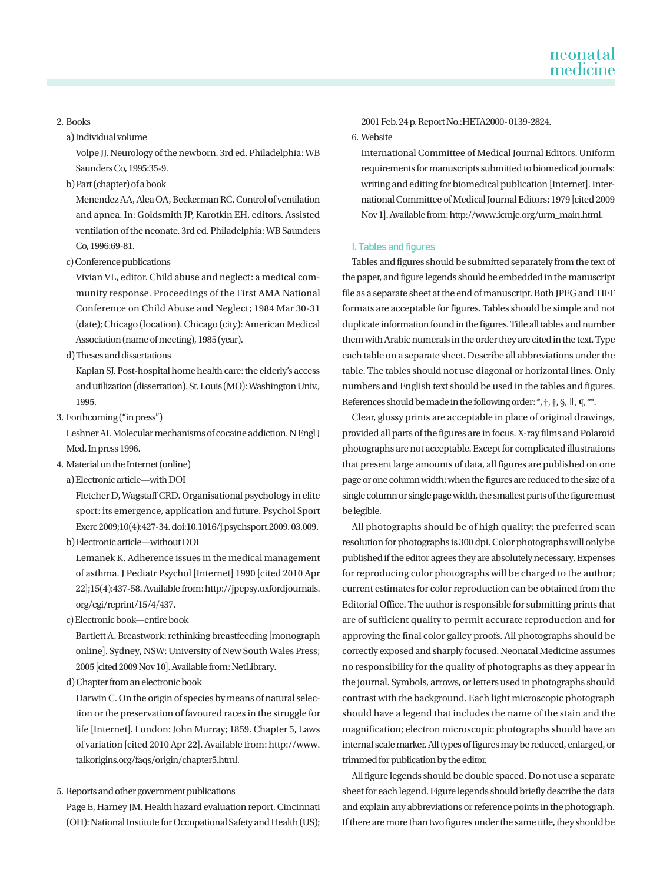#### 2. Books

a) Individual volume

Volpe JJ. Neurology of the newborn. 3rd ed. Philadelphia: WB Saunders Co, 1995:35-9.

b) Part (chapter) of a book

Menendez AA, Alea OA, Beckerman RC. Control of ventilation and apnea. In: Goldsmith JP, Karotkin EH, editors. Assisted ventilation of the neonate. 3rd ed. Philadelphia: WB Saunders Co, 1996:69-81.

c) Conference publications

Vivian VL, editor. Child abuse and neglect: a medical community response. Proceedings of the First AMA National Conference on Child Abuse and Neglect; 1984 Mar 30-31 (date); Chicago (location). Chicago (city): American Medical Association (name of meeting), 1985 (year).

d) Theses and dissertations

Kaplan SJ. Post-hospital home health care: the elderly's access and utilization (dissertation). St. Louis (MO): Washington Univ., 1995.

3. Forthcoming ("in press")

Leshner AI. Molecular mechanisms of cocaine addiction. N Engl J Med. In press 1996.

4. Material on the Internet (online)

a) Electronic article—with DOI

Fletcher D, Wagstaff CRD. Organisational psychology in elite sport: its emergence, application and future. Psychol Sport Exerc 2009;10(4):427-34. doi:10.1016/j.psychsport.2009. 03.009.

b) Electronic article—without DOI

Lemanek K. Adherence issues in the medical management of asthma. J Pediatr Psychol [Internet] 1990 [cited 2010 Apr 22];15(4):437-58. Available from: [http://jpepsy.oxfordjournals.](http://jpepsy.oxfordjournals.org/cgi/reprint/15/4/437) [org/cgi/reprint/15/4/437.](http://jpepsy.oxfordjournals.org/cgi/reprint/15/4/437)

c) Electronic book—entire book

Bartlett A. Breastwork: rethinking breastfeeding [monograph online]. Sydney, NSW: University of New South Wales Press; 2005 [cited 2009 Nov 10]. Available from: NetLibrary.

d) Chapter from an electronic book

Darwin C. On the origin of species by means of natural selection or the preservation of favoured races in the struggle for life [Internet]. London: John Murray; 1859. Chapter 5, Laws of variation [cited 2010 Apr 22]. Available from: [http://www.](http://www.talkorigins.org/faqs/origin/chapter5.html) [talkorigins.org/faqs/origin/chapter5.html](http://www.talkorigins.org/faqs/origin/chapter5.html).

5. Reports and other government publications

Page E, Harney JM. Health hazard evaluation report. Cincinnati (OH): National Institute for Occupational Safety and Health (US); 2001 Feb. 24 p. Report No.:HETA2000- 0139-2824.

## 6. Website

International Committee of Medical Journal Editors. Uniform requirements for manuscripts submitted to biomedical journals: writing and editing for biomedical publication [Internet]. International Committee of Medical Journal Editors; 1979 [cited 2009 Nov 1]. Available from: http://www.icmje.org/urm\_main.html.

#### I. Tables and figures

Tables and figures should be submitted separately from the text of the paper, and figure legends should be embedded in the manuscript file as a separate sheet at the end of manuscript. Both JPEG and TIFF formats are acceptable for figures. Tables should be simple and not duplicate information found in the figures. Title all tables and number them with Arabic numerals in the order they are cited in the text. Type each table on a separate sheet. Describe all abbreviations under the table. The tables should not use diagonal or horizontal lines. Only numbers and English text should be used in the tables and figures. References should be made in the following order: \*, +, +, §, ∥, ¶, \*\*.

Clear, glossy prints are acceptable in place of original drawings, provided all parts of the figures are in focus. X-ray films and Polaroid photographs are not acceptable. Except for complicated illustrations that present large amounts of data, all figures are published on one page or one column width; when the figures are reduced to the size of a single column or single page width, the smallest parts of the figure must be legible.

All photographs should be of high quality; the preferred scan resolution for photographs is 300 dpi. Color photographs will only be published if the editor agrees they are absolutely necessary. Expenses for reproducing color photographs will be charged to the author; current estimates for color reproduction can be obtained from the Editorial Office. The author is responsible for submitting prints that are of sufficient quality to permit accurate reproduction and for approving the final color galley proofs. All photographs should be correctly exposed and sharply focused. Neonatal Medicine assumes no responsibility for the quality of photographs as they appear in the journal. Symbols, arrows, or letters used in photographs should contrast with the background. Each light microscopic photograph should have a legend that includes the name of the stain and the magnification; electron microscopic photographs should have an internal scale marker. All types of figures may be reduced, enlarged, or trimmed for publication by the editor.

All figure legends should be double spaced. Do not use a separate sheet for each legend. Figure legends should briefly describe the data and explain any abbreviations or reference points in the photograph. If there are more than two figures under the same title, they should be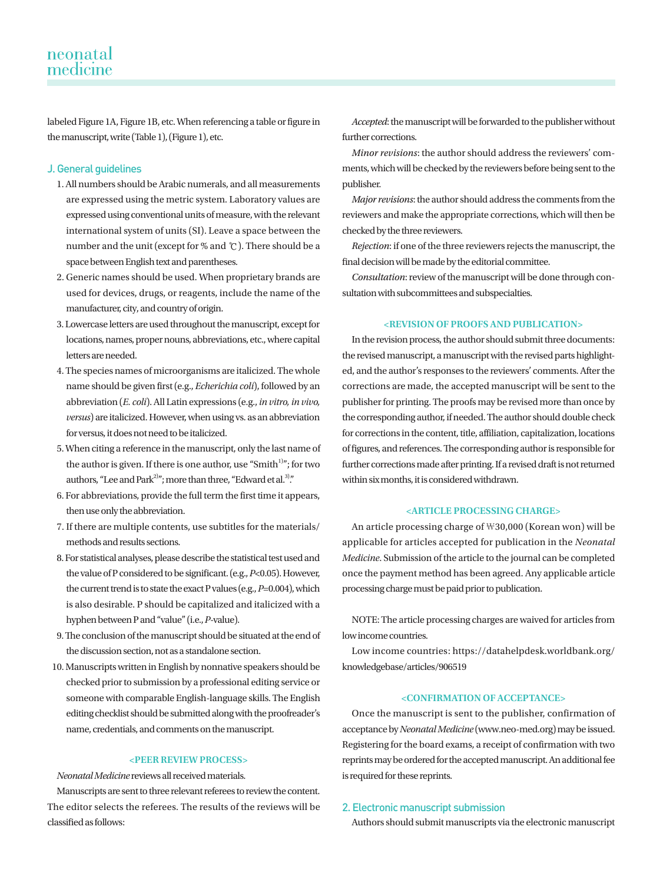labeled Figure 1A, Figure 1B, etc. When referencing a table or figure in the manuscript, write (Table 1), (Figure 1), etc.

## J. General guidelines

- 1. All numbers should be Arabic numerals, and all measurements are expressed using the metric system. Laboratory values are expressed using conventional units of measure, with the relevant international system of units (SI). Leave a space between the number and the unit (except for % and ℃). There should be a space between English text and parentheses.
- 2. Generic names should be used. When proprietary brands are used for devices, drugs, or reagents, include the name of the manufacturer, city, and country of origin.
- 3. Lowercase letters are used throughout the manuscript, except for locations, names, proper nouns, abbreviations, etc., where capital letters are needed.
- 4. The species names of microorganisms are italicized. The whole name should be given first (e.g., *Echerichia coli*), followed by an abbreviation (*E. coli*). All Latin expressions (e.g., *in vitro, in vivo, versus*) are italicized. However, when using vs. as an abbreviation for versus, it does not need to be italicized.
- 5. When citing a reference in the manuscript, only the last name of the author is given. If there is one author, use "Smith $1$ "; for two authors, "Lee and Park<sup>2)</sup>"; more than three, "Edward et al.<sup>3)</sup>."
- 6. For abbreviations, provide the full term the first time it appears, then use only the abbreviation.
- 7. If there are multiple contents, use subtitles for the materials/ methods and results sections.
- 8. For statistical analyses, please describe the statistical test used and the value of P considered to be significant. (e.g., *P*<0.05). However, the current trend is to state the exact P values (e.g., *P*=0.004), which is also desirable. P should be capitalized and italicized with a hyphen between P and "value" (i.e., *P*-value).
- 9. The conclusion of the manuscript should be situated at the end of the discussion section, not as a standalone section.
- 10. Manuscripts written in English by nonnative speakers should be checked prior to submission by a professional editing service or someone with comparable English-language skills. The English editing checklist should be submitted along with the proofreader's name, credentials, and comments on the manuscript.

#### **<PEER REVIEW PROCESS>**

*Neonatal Medicine* reviews all received materials.

Manuscripts are sent to three relevant referees to review the content. The editor selects the referees. The results of the reviews will be classified as follows:

*Accepted*: the manuscript will be forwarded to the publisher without further corrections.

*Minor revisions*: the author should address the reviewers' comments, which will be checked by the reviewers before being sent to the publisher.

*Major revisions*: the author should address the comments from the reviewers and make the appropriate corrections, which will then be checked by the three reviewers.

*Rejection*: if one of the three reviewers rejects the manuscript, the final decision will be made by the editorial committee.

*Consultation*: review of the manuscript will be done through consultation with subcommittees and subspecialties.

#### **<REVISION OF PROOFS AND PUBLICATION>**

In the revision process, the author should submit three documents: the revised manuscript, a manuscript with the revised parts highlighted, and the author's responses to the reviewers' comments. After the corrections are made, the accepted manuscript will be sent to the publisher for printing. The proofs may be revised more than once by the corresponding author, if needed. The author should double check for corrections in the content, title, affiliation, capitalization, locations of figures, and references. The corresponding author is responsible for further corrections made after printing. If a revised draft is not returned within six months, it is considered withdrawn.

## **<ARTICLE PROCESSING CHARGE>**

An article processing charge of ₩30,000 (Korean won) will be applicable for articles accepted for publication in the *Neonatal Medicine*. Submission of the article to the journal can be completed once the payment method has been agreed. Any applicable article processing charge must be paid prior to publication.

NOTE: The article processing charges are waived for articles from low income countries.

Low income countries: [https://datahelpdesk.worldbank.org/](https://datahelpdesk.worldbank.org/knowledgebase/articles/906519) [knowledgebase/articles/906519](https://datahelpdesk.worldbank.org/knowledgebase/articles/906519)

#### **<CONFIRMATION OF ACCEPTANCE>**

Once the manuscript is sent to the publisher, confirmation of acceptance by *Neonatal Medicine* (www.neo-med.org) may be issued. Registering for the board exams, a receipt of confirmation with two reprints may be ordered for the accepted manuscript. An additional fee is required for these reprints.

## 2. Electronic manuscript submission

Authors should submit manuscripts via the electronic manuscript